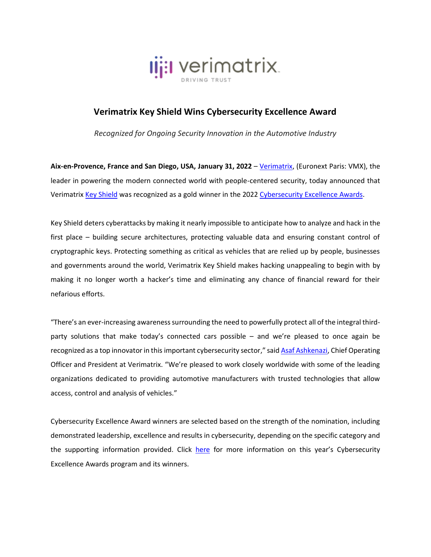

## **Verimatrix Key Shield Wins Cybersecurity Excellence Award**

*Recognized for Ongoing Security Innovation in the Automotive Industry* 

**Aix-en-Provence, France and San Diego, USA, January 31, 2022** – [Verimatrix,](http://www.verimatrix.com/) (Euronext Paris: VMX), the leader in powering the modern connected world with people-centered security, today announced that Verimatrix [Key Shield](https://www.verimatrix.com/markets/automotive/) was recognized as a gold winner in the 2022 [Cybersecurity Excellence Awards.](https://cybersecurity-excellence-awards.com/candidates/verimatrix-key-shield/)

Key Shield deters cyberattacks by making it nearly impossible to anticipate how to analyze and hack in the first place – building secure architectures, protecting valuable data and ensuring constant control of cryptographic keys. Protecting something as critical as vehicles that are relied up by people, businesses and governments around the world, Verimatrix Key Shield makes hacking unappealing to begin with by making it no longer worth a hacker's time and eliminating any chance of financial reward for their nefarious efforts.

"There's an ever-increasing awareness surrounding the need to powerfully protect all of the integral thirdparty solutions that make today's connected cars possible – and we're pleased to once again be recognized as a top innovator in this important cybersecurity sector," sai[d Asaf Ashkenazi,](https://www.linkedin.com/in/asafashkenazi/) Chief Operating Officer and President at Verimatrix. "We're pleased to work closely worldwide with some of the leading organizations dedicated to providing automotive manufacturers with trusted technologies that allow access, control and analysis of vehicles."

Cybersecurity Excellence Award winners are selected based on the strength of the nomination, including demonstrated leadership, excellence and results in cybersecurity, depending on the specific category and the supporting information provided. Click [here](https://cybersecurity-excellence-awards.com/) for more information on this year's Cybersecurity Excellence Awards program and its winners.